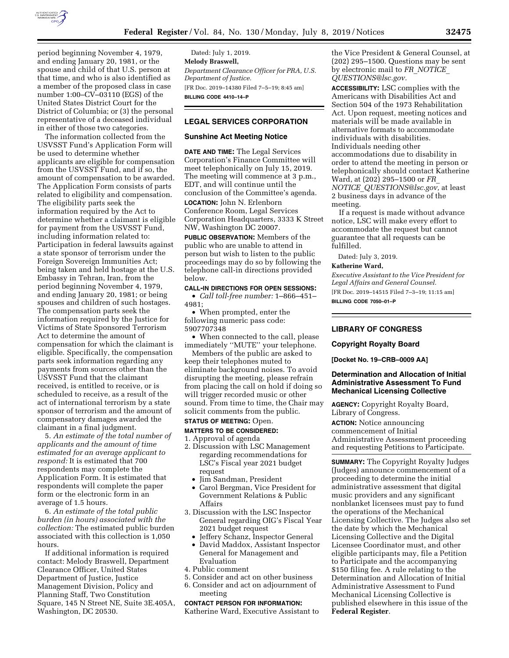

period beginning November 4, 1979, and ending January 20, 1981, or the spouse and child of that U.S. person at that time, and who is also identified as a member of the proposed class in case number 1:00–CV–03110 (EGS) of the United States District Court for the District of Columbia; or (3) the personal representative of a deceased individual in either of those two categories.

The information collected from the USVSST Fund's Application Form will be used to determine whether applicants are eligible for compensation from the USVSST Fund, and if so, the amount of compensation to be awarded. The Application Form consists of parts related to eligibility and compensation. The eligibility parts seek the information required by the Act to determine whether a claimant is eligible for payment from the USVSST Fund, including information related to: Participation in federal lawsuits against a state sponsor of terrorism under the Foreign Sovereign Immunities Act; being taken and held hostage at the U.S. Embassy in Tehran, Iran, from the period beginning November 4, 1979, and ending January 20, 1981; or being spouses and children of such hostages. The compensation parts seek the information required by the Justice for Victims of State Sponsored Terrorism Act to determine the amount of compensation for which the claimant is eligible. Specifically, the compensation parts seek information regarding any payments from sources other than the USVSST Fund that the claimant received, is entitled to receive, or is scheduled to receive, as a result of the act of international terrorism by a state sponsor of terrorism and the amount of compensatory damages awarded the claimant in a final judgment.

5. *An estimate of the total number of applicants and the amount of time estimated for an average applicant to respond:* It is estimated that 700 respondents may complete the Application Form. It is estimated that respondents will complete the paper form or the electronic form in an average of 1.5 hours.

6. *An estimate of the total public burden (in hours) associated with the collection:* The estimated public burden associated with this collection is 1,050 hours.

If additional information is required contact: Melody Braswell, Department Clearance Officer, United States Department of Justice, Justice Management Division, Policy and Planning Staff, Two Constitution Square, 145 N Street NE, Suite 3E.405A, Washington, DC 20530.

Dated: July 1, 2019. **Melody Braswell,**  *Department Clearance Officer for PRA, U.S. Department of Justice.*  [FR Doc. 2019–14380 Filed 7–5–19; 8:45 am] **BILLING CODE 4410–14–P** 

## **LEGAL SERVICES CORPORATION**

## **Sunshine Act Meeting Notice**

**DATE AND TIME:** The Legal Services Corporation's Finance Committee will meet telephonically on July 15, 2019. The meeting will commence at 3 p.m., EDT, and will continue until the conclusion of the Committee's agenda. **LOCATION:** John N. Erlenborn

Conference Room, Legal Services Corporation Headquarters, 3333 K Street NW, Washington DC 20007.

**PUBLIC OBSERVATION:** Members of the public who are unable to attend in person but wish to listen to the public proceedings may do so by following the telephone call-in directions provided below.

### **CALL-IN DIRECTIONS FOR OPEN SESSIONS:**

• *Call toll-free number:* 1–866–451– 4981;

• When prompted, enter the following numeric pass code: 5907707348

• When connected to the call, please immediately ''MUTE'' your telephone.

Members of the public are asked to keep their telephones muted to eliminate background noises. To avoid disrupting the meeting, please refrain from placing the call on hold if doing so will trigger recorded music or other sound. From time to time, the Chair may solicit comments from the public.

## **STATUS OF MEETING:** Open.

## **MATTERS TO BE CONSIDERED:**

1. Approval of agenda

- 2. Discussion with LSC Management regarding recommendations for LSC's Fiscal year 2021 budget request
	- Jim Sandman, President
	- Carol Bergman, Vice President for Government Relations & Public Affairs
- 3. Discussion with the LSC Inspector General regarding OIG's Fiscal Year 2021 budget request
	- Jeffery Schanz, Inspector General
- David Maddox, Assistant Inspector General for Management and Evaluation
- 4. Public comment
- 5. Consider and act on other business
- 6. Consider and act on adjournment of meeting

#### **CONTACT PERSON FOR INFORMATION:**

Katherine Ward, Executive Assistant to

the Vice President & General Counsel, at (202) 295–1500. Questions may be sent by electronic mail to *FR*\_*[NOTICE](mailto:FR_NOTICE_QUESTIONS@lsc.gov)*\_ *[QUESTIONS@lsc.gov.](mailto:FR_NOTICE_QUESTIONS@lsc.gov)* 

**ACCESSIBILITY:** LSC complies with the Americans with Disabilities Act and Section 504 of the 1973 Rehabilitation Act. Upon request, meeting notices and materials will be made available in alternative formats to accommodate individuals with disabilities. Individuals needing other accommodations due to disability in order to attend the meeting in person or telephonically should contact Katherine Ward, at (202) 295–1500 or *[FR](mailto:FR_NOTICE_QUESTIONS@lsc.gov)*\_ *NOTICE*\_*[QUESTIONS@lsc.gov,](mailto:FR_NOTICE_QUESTIONS@lsc.gov)* at least 2 business days in advance of the meeting.

If a request is made without advance notice, LSC will make every effort to accommodate the request but cannot guarantee that all requests can be fulfilled.

Dated: July 3, 2019.

#### **Katherine Ward,**

*Executive Assistant to the Vice President for Legal Affairs and General Counsel.*  [FR Doc. 2019–14515 Filed 7–3–19; 11:15 am]

**BILLING CODE 7050–01–P** 

# **LIBRARY OF CONGRESS**

### **Copyright Royalty Board**

**[Docket No. 19–CRB–0009 AA]** 

## **Determination and Allocation of Initial Administrative Assessment To Fund Mechanical Licensing Collective**

**AGENCY:** Copyright Royalty Board, Library of Congress.

**ACTION:** Notice announcing commencement of Initial Administrative Assessment proceeding and requesting Petitions to Participate.

**SUMMARY:** The Copyright Royalty Judges (Judges) announce commencement of a proceeding to determine the initial administrative assessment that digital music providers and any significant nonblanket licensees must pay to fund the operations of the Mechanical Licensing Collective. The Judges also set the date by which the Mechanical Licensing Collective and the Digital Licensee Coordinator must, and other eligible participants may, file a Petition to Participate and the accompanying \$150 filing fee. A rule relating to the Determination and Allocation of Initial Administrative Assessment to Fund Mechanical Licensing Collective is published elsewhere in this issue of the **Federal Register**.